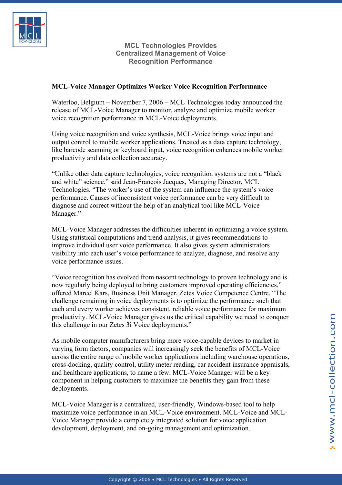

**MCL Technologies Provides Centralized Management of Voice Recognition Performance** 

## **MCL-Voice Manager Optimizes Worker Voice Recognition Performance**

Waterloo, Belgium – November 7, 2006 – MCL Technologies today announced the release of MCL-Voice Manager to monitor, analyze and optimize mobile worker voice recognition performance in MCL-Voice deployments.

Using voice recognition and voice synthesis, MCL-Voice brings voice input and output control to mobile worker applications. Treated as a data capture technology, like barcode scanning or keyboard input, voice recognition enhances mobile worker productivity and data collection accuracy.

"Unlike other data capture technologies, voice recognition systems are not a "black and white" science," said Jean-François Jacques, Managing Director, MCL Technologies. "The worker's use of the system can influence the system's voice performance. Causes of inconsistent voice performance can be very difficult to diagnose and correct without the help of an analytical tool like MCL-Voice Manager."

MCL-Voice Manager addresses the difficulties inherent in optimizing a voice system. Using statistical computations and trend analysis, it gives recommendations to improve individual user voice performance. It also gives system administrators visibility into each user's voice performance to analyze, diagnose, and resolve any voice performance issues.

"Voice recognition has evolved from nascent technology to proven technology and is now regularly being deployed to bring customers improved operating efficiencies," offered Marcel Kars, Business Unit Manager, Zetes Voice Competence Centre. "The challenge remaining in voice deployments is to optimize the performance such that each and every worker achieves consistent, reliable voice performance for maximum productivity. MCL-Voice Manager gives us the critical capability we need to conquer this challenge in our Zetes 3i Voice deployments."

As mobile computer manufacturers bring more voice-capable devices to market in varying form factors, companies will increasingly seek the benefits of MCL-Voice across the entire range of mobile worker applications including warehouse operations, cross-docking, quality control, utility meter reading, car accident insurance appraisals, and healthcare applications, to name a few. MCL-Voice Manager will be a key component in helping customers to maximize the benefits they gain from these deployments.

MCL-Voice Manager is a centralized, user-friendly, Windows-based tool to help maximize voice performance in an MCL-Voice environment. MCL-Voice and MCL-Voice Manager provide a completely integrated solution for voice application development, deployment, and on-going management and optimization.